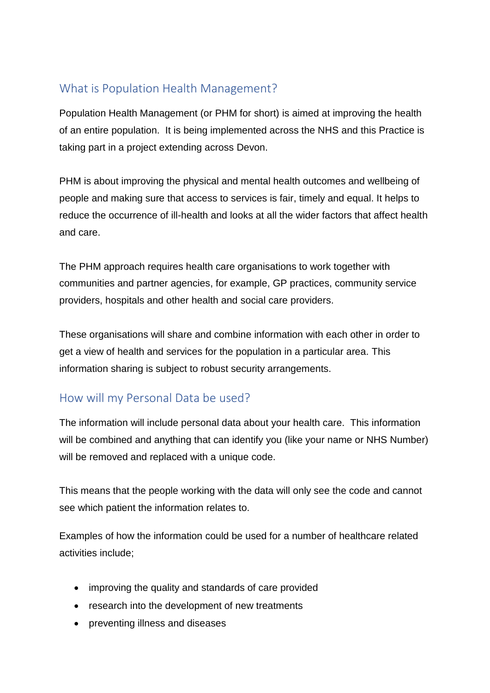## What is Population Health Management?

Population Health Management (or PHM for short) is aimed at improving the health of an entire population. It is being implemented across the NHS and this Practice is taking part in a project extending across Devon.

PHM is about improving the physical and mental health outcomes and wellbeing of people and making sure that access to services is fair, timely and equal. It helps to reduce the occurrence of ill-health and looks at all the wider factors that affect health and care.

The PHM approach requires health care organisations to work together with communities and partner agencies, for example, GP practices, community service providers, hospitals and other health and social care providers.

These organisations will share and combine information with each other in order to get a view of health and services for the population in a particular area. This information sharing is subject to robust security arrangements.

## How will my Personal Data be used?

The information will include personal data about your health care. This information will be combined and anything that can identify you (like your name or NHS Number) will be removed and replaced with a unique code.

This means that the people working with the data will only see the code and cannot see which patient the information relates to.

Examples of how the information could be used for a number of healthcare related activities include;

- improving the quality and standards of care provided
- research into the development of new treatments
- preventing illness and diseases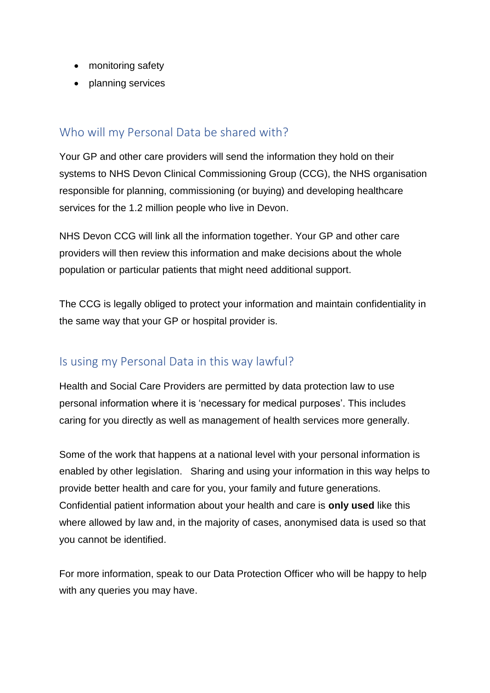- monitoring safety
- planning services

#### Who will my Personal Data be shared with?

Your GP and other care providers will send the information they hold on their systems to NHS Devon Clinical Commissioning Group (CCG), the NHS organisation responsible for planning, commissioning (or buying) and developing healthcare services for the 1.2 million people who live in Devon.

NHS Devon CCG will link all the information together. Your GP and other care providers will then review this information and make decisions about the whole population or particular patients that might need additional support.

The CCG is legally obliged to protect your information and maintain confidentiality in the same way that your GP or hospital provider is.

## Is using my Personal Data in this way lawful?

Health and Social Care Providers are permitted by data protection law to use personal information where it is 'necessary for medical purposes'. This includes caring for you directly as well as management of health services more generally.

Some of the work that happens at a national level with your personal information is enabled by other legislation. Sharing and using your information in this way helps to provide better health and care for you, your family and future generations. Confidential patient information about your health and care is **only used** like this where allowed by law and, in the majority of cases, anonymised data is used so that you cannot be identified.

For more information, speak to our Data Protection Officer who will be happy to help with any queries you may have.